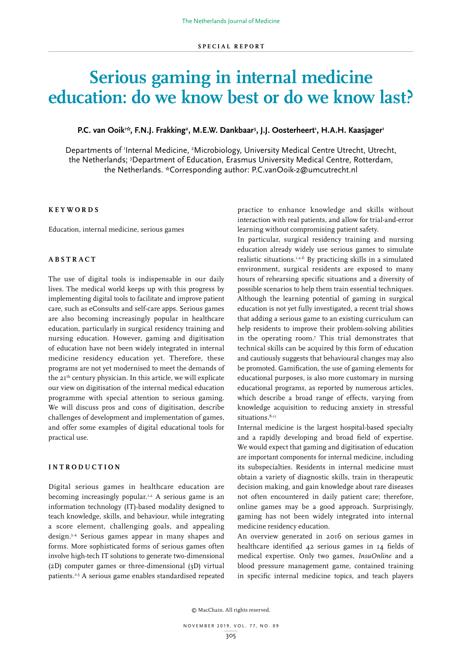# **Serious gaming in internal medicine education: do we know best or do we know last?**

## P.C. van Ooik<sup>1:</sup>\*, F.N.J. Frakking<sup>2</sup>, M.E.W. Dankbaar<sup>3</sup>, J.J. Oosterheert<sup>1</sup>, H.A.H. Kaasjager<sup>1</sup>

Departments of 'Internal Medicine, <sup>2</sup>Microbiology, University Medical Centre Utrecht, Utrecht, the Netherlands; 3 Department of Education, Erasmus University Medical Centre, Rotterdam, the Netherlands. \*Corresponding author: P.C.vanOoik-2@umcutrecht.nl

# **KEYWORDS**

Education, internal medicine, serious games

## **ABSTRACT**

The use of digital tools is indispensable in our daily lives. The medical world keeps up with this progress by implementing digital tools to facilitate and improve patient care, such as eConsults and self-care apps. Serious games are also becoming increasingly popular in healthcare education, particularly in surgical residency training and nursing education. However, gaming and digitisation of education have not been widely integrated in internal medicine residency education yet. Therefore, these programs are not yet modernised to meet the demands of the 21th century physician. In this article, we will explicate our view on digitisation of the internal medical education programme with special attention to serious gaming. We will discuss pros and cons of digitisation, describe challenges of development and implementation of games, and offer some examples of digital educational tools for practical use.

### **INTRODUCTION**

Digital serious games in healthcare education are becoming increasingly popular.<sup>1,2</sup> A serious game is an information technology (IT)-based modality designed to teach knowledge, skills, and behaviour, while integrating a score element, challenging goals, and appealing design.3,4 Serious games appear in many shapes and forms. More sophisticated forms of serious games often involve high-tech IT solutions to generate two-dimensional (2D) computer games or three-dimensional (3D) virtual patients.2,5 A serious game enables standardised repeated practice to enhance knowledge and skills without interaction with real patients, and allow for trial-and-error learning without compromising patient safety.

In particular, surgical residency training and nursing education already widely use serious games to simulate realistic situations.1,2,6 By practicing skills in a simulated environment, surgical residents are exposed to many hours of rehearsing specific situations and a diversity of possible scenarios to help them train essential techniques. Although the learning potential of gaming in surgical education is not yet fully investigated, a recent trial shows that adding a serious game to an existing curriculum can help residents to improve their problem-solving abilities in the operating room.7 This trial demonstrates that technical skills can be acquired by this form of education and cautiously suggests that behavioural changes may also be promoted. Gamification, the use of gaming elements for educational purposes, is also more customary in nursing educational programs, as reported by numerous articles, which describe a broad range of effects, varying from knowledge acquisition to reducing anxiety in stressful situations.<sup>8-11</sup>

Internal medicine is the largest hospital-based specialty and a rapidly developing and broad field of expertise. We would expect that gaming and digitisation of education are important components for internal medicine, including its subspecialties. Residents in internal medicine must obtain a variety of diagnostic skills, train in therapeutic decision making, and gain knowledge about rare diseases not often encountered in daily patient care; therefore, online games may be a good approach. Surprisingly, gaming has not been widely integrated into internal medicine residency education.

An overview generated in 2016 on serious games in healthcare identified 42 serious games in 14 fields of medical expertise. Only two games, *InsuOnline* and a blood pressure management game, contained training in specific internal medicine topics, and teach players

© MacChain. All rights reserved.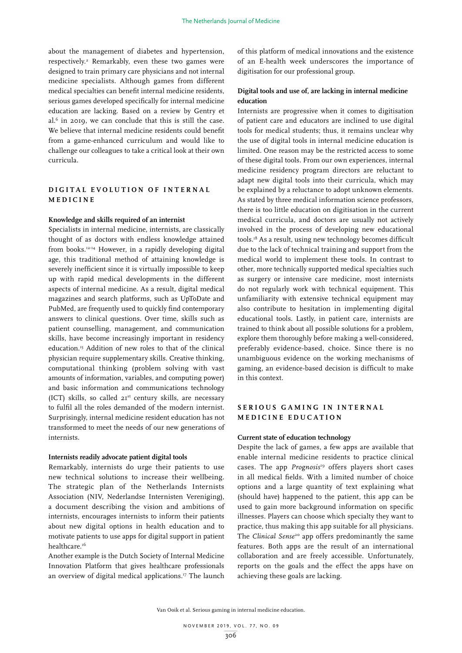about the management of diabetes and hypertension, respectively.2 Remarkably, even these two games were designed to train primary care physicians and not internal medicine specialists. Although games from different medical specialties can benefit internal medicine residents, serious games developed specifically for internal medicine education are lacking. Based on a review by Gentry et al.6 in 2019, we can conclude that this is still the case. We believe that internal medicine residents could benefit from a game-enhanced curriculum and would like to challenge our colleagues to take a critical look at their own curricula.

# **D I G I T A L E V O L U T I O N O F I N T E R N A L M E D I C I N E**

## **Knowledge and skills required of an internist**

Specialists in internal medicine, internists, are classically thought of as doctors with endless knowledge attained from books.12-14 However, in a rapidly developing digital age, this traditional method of attaining knowledge is severely inefficient since it is virtually impossible to keep up with rapid medical developments in the different aspects of internal medicine. As a result, digital medical magazines and search platforms, such as UpToDate and PubMed, are frequently used to quickly find contemporary answers to clinical questions. Over time, skills such as patient counselling, management, and communication skills, have become increasingly important in residency education.15 Addition of new roles to that of the clinical physician require supplementary skills. Creative thinking, computational thinking (problem solving with vast amounts of information, variables, and computing power) and basic information and communications technology (ICT) skills, so called  $2I<sup>st</sup>$  century skills, are necessary to fulfil all the roles demanded of the modern internist. Surprisingly, internal medicine resident education has not transformed to meet the needs of our new generations of internists.

#### **Internists readily advocate patient digital tools**

Remarkably, internists do urge their patients to use new technical solutions to increase their wellbeing. The strategic plan of the Netherlands Internists Association (NIV, Nederlandse Internisten Vereniging), a document describing the vision and ambitions of internists, encourages internists to inform their patients about new digital options in health education and to motivate patients to use apps for digital support in patient healthcare.<sup>16</sup>

Another example is the Dutch Society of Internal Medicine Innovation Platform that gives healthcare professionals an overview of digital medical applications.17 The launch

of this platform of medical innovations and the existence of an E-health week underscores the importance of digitisation for our professional group.

# **Digital tools and use of, are lacking in internal medicine education**

Internists are progressive when it comes to digitisation of patient care and educators are inclined to use digital tools for medical students; thus, it remains unclear why the use of digital tools in internal medicine education is limited. One reason may be the restricted access to some of these digital tools. From our own experiences, internal medicine residency program directors are reluctant to adapt new digital tools into their curricula, which may be explained by a reluctance to adopt unknown elements. As stated by three medical information science professors, there is too little education on digitisation in the current medical curricula, and doctors are usually not actively involved in the process of developing new educational tools.18 As a result, using new technology becomes difficult due to the lack of technical training and support from the medical world to implement these tools. In contrast to other, more technically supported medical specialties such as surgery or intensive care medicine, most internists do not regularly work with technical equipment. This unfamiliarity with extensive technical equipment may also contribute to hesitation in implementing digital educational tools. Lastly, in patient care, internists are trained to think about all possible solutions for a problem, explore them thoroughly before making a well-considered, preferably evidence-based, choice. Since there is no unambiguous evidence on the working mechanisms of gaming, an evidence-based decision is difficult to make in this context.

# SERIOUS GAMING IN INTERNAL **MEDICINE EDUCATION**

### **Current state of education technology**

Despite the lack of games, a few apps are available that enable internal medicine residents to practice clinical cases. The app *Prognosis*19 offers players short cases in all medical fields. With a limited number of choice options and a large quantity of text explaining what (should have) happened to the patient, this app can be used to gain more background information on specific illnesses. Players can choose which specialty they want to practice, thus making this app suitable for all physicians. The *Clinical Sense*20 app offers predominantly the same features. Both apps are the result of an international collaboration and are freely accessible. Unfortunately, reports on the goals and the effect the apps have on achieving these goals are lacking.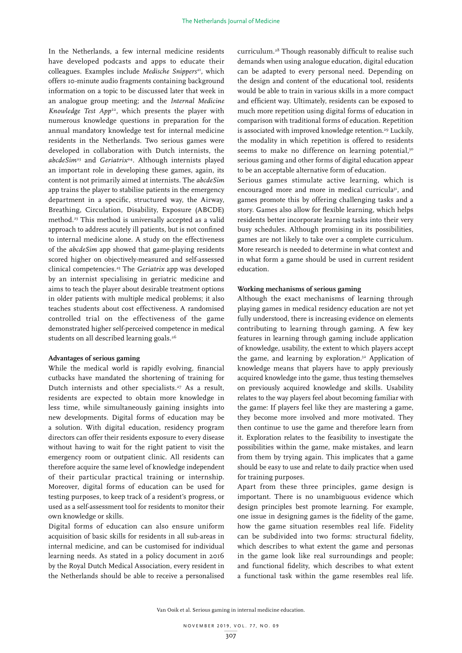In the Netherlands, a few internal medicine residents have developed podcasts and apps to educate their colleagues. Examples include *Medische Snippers<sup>21</sup>*, which offers 10-minute audio fragments containing background information on a topic to be discussed later that week in an analogue group meeting; and the *Internal Medicine*  Knowledge Test App<sup>22</sup>, which presents the player with numerous knowledge questions in preparation for the annual mandatory knowledge test for internal medicine residents in the Netherlands. Two serious games were developed in collaboration with Dutch internists, the *abcdeSim*23 and *Geriatrix*24. Although internists played an important role in developing these games, again, its content is not primarily aimed at internists. The *abcdeSim* app trains the player to stabilise patients in the emergency department in a specific, structured way, the Airway, Breathing, Circulation, Disability, Exposure (ABCDE) method.23 This method is universally accepted as a valid approach to address acutely ill patients, but is not confined to internal medicine alone. A study on the effectiveness of the *abcdeSim* app showed that game-playing residents scored higher on objectively-measured and self-assessed clinical competencies.25 The *Geriatrix* app was developed by an internist specialising in geriatric medicine and aims to teach the player about desirable treatment options in older patients with multiple medical problems; it also teaches students about cost effectiveness. A randomised controlled trial on the effectiveness of the game demonstrated higher self-perceived competence in medical students on all described learning goals.<sup>26</sup>

#### **Advantages of serious gaming**

While the medical world is rapidly evolving, financial cutbacks have mandated the shortening of training for Dutch internists and other specialists.27 As a result, residents are expected to obtain more knowledge in less time, while simultaneously gaining insights into new developments. Digital forms of education may be a solution. With digital education, residency program directors can offer their residents exposure to every disease without having to wait for the right patient to visit the emergency room or outpatient clinic. All residents can therefore acquire the same level of knowledge independent of their particular practical training or internship. Moreover, digital forms of education can be used for testing purposes, to keep track of a resident's progress, or used as a self-assessment tool for residents to monitor their own knowledge or skills.

Digital forms of education can also ensure uniform acquisition of basic skills for residents in all sub-areas in internal medicine, and can be customised for individual learning needs. As stated in a policy document in 2016 by the Royal Dutch Medical Association, every resident in the Netherlands should be able to receive a personalised

curriculum.28 Though reasonably difficult to realise such demands when using analogue education, digital education can be adapted to every personal need. Depending on the design and content of the educational tool, residents would be able to train in various skills in a more compact and efficient way. Ultimately, residents can be exposed to much more repetition using digital forms of education in comparison with traditional forms of education. Repetition is associated with improved knowledge retention.<sup>29</sup> Luckily, the modality in which repetition is offered to residents seems to make no difference on learning potential,<sup>30</sup> serious gaming and other forms of digital education appear to be an acceptable alternative form of education.

Serious games stimulate active learning, which is encouraged more and more in medical curricula<sup>31</sup>, and games promote this by offering challenging tasks and a story. Games also allow for flexible learning, which helps residents better incorporate learning tasks into their very busy schedules. Although promising in its possibilities, games are not likely to take over a complete curriculum. More research is needed to determine in what context and in what form a game should be used in current resident education.

#### **Working mechanisms of serious gaming**

Although the exact mechanisms of learning through playing games in medical residency education are not yet fully understood, there is increasing evidence on elements contributing to learning through gaming. A few key features in learning through gaming include application of knowledge, usability, the extent to which players accept the game, and learning by exploration.<sup>32</sup> Application of knowledge means that players have to apply previously acquired knowledge into the game, thus testing themselves on previously acquired knowledge and skills. Usability relates to the way players feel about becoming familiar with the game: If players feel like they are mastering a game, they become more involved and more motivated. They then continue to use the game and therefore learn from it. Exploration relates to the feasibility to investigate the possibilities within the game, make mistakes, and learn from them by trying again. This implicates that a game should be easy to use and relate to daily practice when used for training purposes.

Apart from these three principles, game design is important. There is no unambiguous evidence which design principles best promote learning. For example, one issue in designing games is the fidelity of the game, how the game situation resembles real life. Fidelity can be subdivided into two forms: structural fidelity, which describes to what extent the game and personas in the game look like real surroundings and people; and functional fidelity, which describes to what extent a functional task within the game resembles real life.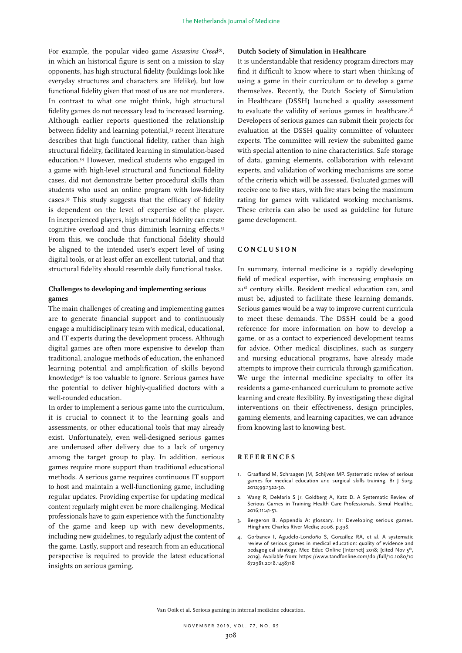For example, the popular video game *Assassins Creed*®, in which an historical figure is sent on a mission to slay opponents, has high structural fidelity (buildings look like everyday structures and characters are lifelike), but low functional fidelity given that most of us are not murderers. In contrast to what one might think, high structural fidelity games do not necessary lead to increased learning. Although earlier reports questioned the relationship between fidelity and learning potential,<sup>33</sup> recent literature describes that high functional fidelity, rather than high structural fidelity, facilitated learning in simulation-based education.34 However, medical students who engaged in a game with high-level structural and functional fidelity cases, did not demonstrate better procedural skills than students who used an online program with low-fidelity cases.35 This study suggests that the efficacy of fidelity is dependent on the level of expertise of the player. In inexperienced players, high structural fidelity can create cognitive overload and thus diminish learning effects.35 From this, we conclude that functional fidelity should be aligned to the intended user's expert level of using digital tools, or at least offer an excellent tutorial, and that structural fidelity should resemble daily functional tasks.

## **Challenges to developing and implementing serious games**

The main challenges of creating and implementing games are to generate financial support and to continuously engage a multidisciplinary team with medical, educational, and IT experts during the development process. Although digital games are often more expensive to develop than traditional, analogue methods of education, the enhanced learning potential and amplification of skills beyond knowledge<sup>6</sup> is too valuable to ignore. Serious games have the potential to deliver highly-qualified doctors with a well-rounded education.

In order to implement a serious game into the curriculum, it is crucial to connect it to the learning goals and assessments, or other educational tools that may already exist. Unfortunately, even well-designed serious games are underused after delivery due to a lack of urgency among the target group to play. In addition, serious games require more support than traditional educational methods. A serious game requires continuous IT support to host and maintain a well-functioning game, including regular updates. Providing expertise for updating medical content regularly might even be more challenging. Medical professionals have to gain experience with the functionality of the game and keep up with new developments, including new guidelines, to regularly adjust the content of the game. Lastly, support and research from an educational perspective is required to provide the latest educational insights on serious gaming.

#### **Dutch Society of Simulation in Healthcare**

It is understandable that residency program directors may find it difficult to know where to start when thinking of using a game in their curriculum or to develop a game themselves. Recently, the Dutch Society of Simulation in Healthcare (DSSH) launched a quality assessment to evaluate the validity of serious games in healthcare.<sup>36</sup> Developers of serious games can submit their projects for evaluation at the DSSH quality committee of volunteer experts. The committee will review the submitted game with special attention to nine characteristics. Safe storage of data, gaming elements, collaboration with relevant experts, and validation of working mechanisms are some of the criteria which will be assessed. Evaluated games will receive one to five stars, with five stars being the maximum rating for games with validated working mechanisms. These criteria can also be used as guideline for future game development.

#### **C O N C L U S I O N**

In summary, internal medicine is a rapidly developing field of medical expertise, with increasing emphasis on 21st century skills. Resident medical education can, and must be, adjusted to facilitate these learning demands. Serious games would be a way to improve current curricula to meet these demands. The DSSH could be a good reference for more information on how to develop a game, or as a contact to experienced development teams for advice. Other medical disciplines, such as surgery and nursing educational programs, have already made attempts to improve their curricula through gamification. We urge the internal medicine specialty to offer its residents a game-enhanced curriculum to promote active learning and create flexibility. By investigating these digital interventions on their effectiveness, design principles, gaming elements, and learning capacities, we can advance from knowing last to knowing best.

### **REFERENCES**

- 1. Graafland M, Schraagen JM, Schijven MP. Systematic review of serious games for medical education and surgical skills training. Br J Surg. 2012;99:1322-30.
- 2. Wang R, DeMaria S Jr, Goldberg A, Katz D. A Systematic Review of Serious Games in Training Health Care Professionals. Simul Healthc. 2016;11:41-51.
- 3. Bergeron B. Appendix A: glossary. In: Developing serious games. Hingham: Charles River Media; 2006. p.398.
- 4. Gorbanev I, Agudelo-Londoño S, González RA, et al. A systematic review of serious games in medical education: quality of evidence and pedagogical strategy. Med Educ Online [Internet] 2018; [cited Nov 5<sup>th</sup> 2019]. Available from: https://www.tandfonline.com/doi/full/10.1080/10 872981.2018.1438718

Van Ooik et al. Serious gaming in internal medicine education.